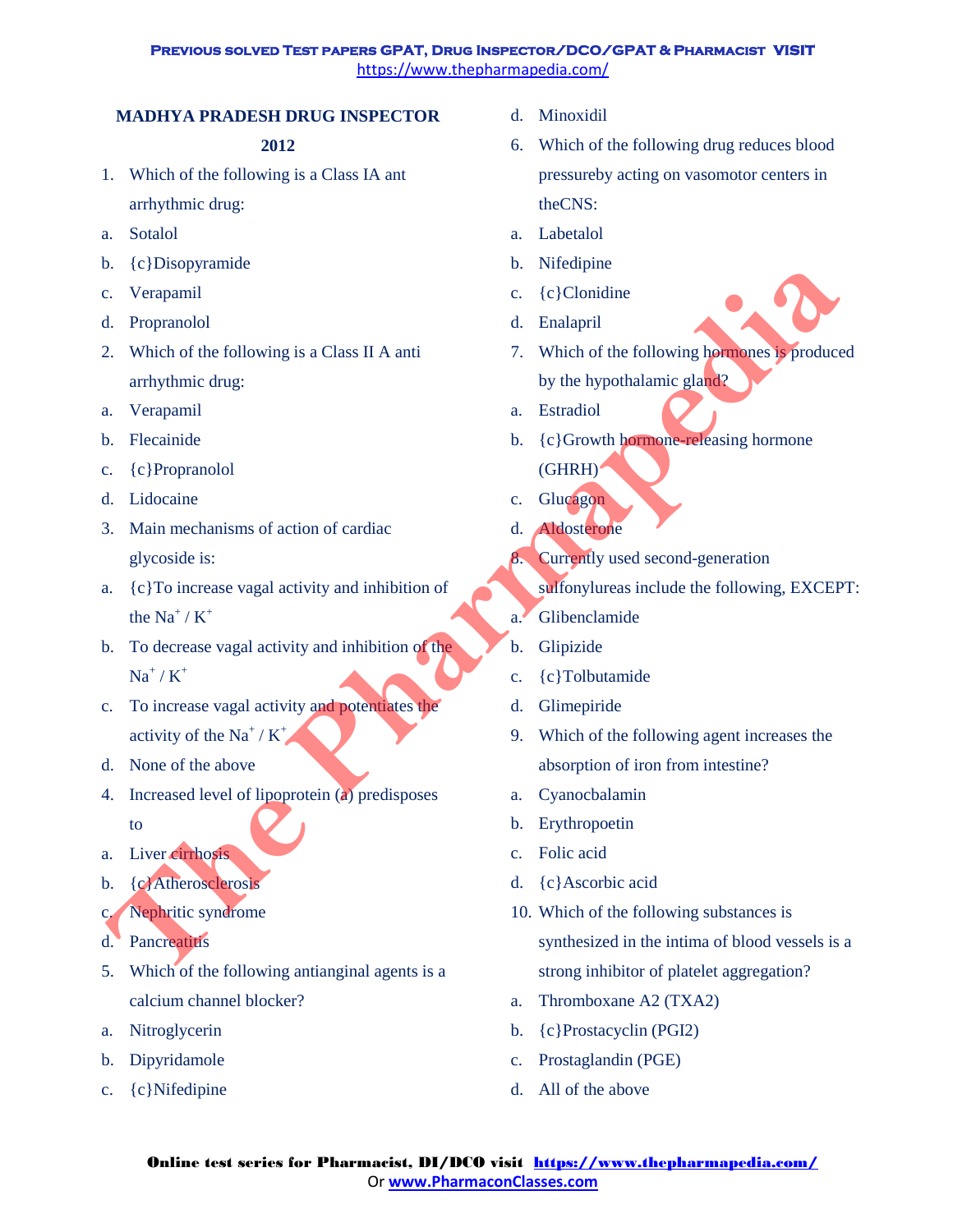# **MADHYA PRADESH DRUG INSPECTOR**

# **2012**

- 1. Which of the following is a Class IA ant arrhythmic drug:
- a. Sotalol
- b. {c}Disopyramide
- c. Verapamil
- d. Propranolol
- 2. Which of the following is a Class II A anti arrhythmic drug:
- a. Verapamil
- b. Flecainide
- c. {c}Propranolol
- d. Lidocaine
- 3. Main mechanisms of action of cardiac glycoside is:
- a. {c}To increase vagal activity and inhibition of the  $Na^+/K^+$
- b. To decrease vagal activity and inhibition of the  $Na^+/K^+$
- c. To increase vagal activity and potentiates the activity of the Na<sup>+</sup> /  $K^+$
- d. None of the above
- 4. Increased level of lipoprotein (a) predisposes to
- a. Liver cirrhosis
- b. {c}Atherosclerosis
- c. Nephritic syndrome
- d. Pancreatitis
- 5. Which of the following antianginal agents is a calcium channel blocker?
- a. Nitroglycerin
- b. Dipyridamole
- c. {c}Nifedipine
- d. Minoxidil
- 6. Which of the following drug reduces blood pressureby acting on vasomotor centers in theCNS:
- a. Labetalol
- b. Nifedipine
- c. {c}Clonidine
- d. Enalapril
- 7. Which of the following hormones is produced by the hypothalamic gland?
- a. Estradiol
- b. {c}Growth hormone-releasing hormone (GHRH)
- c. Glucagon
- d. Aldosterone
- 8. Currently used second-generation
	- sulfonylureas include the following, EXCEPT:
- a. Glibenclamide
- b. Glipizide
- c. {c}Tolbutamide
- d. Glimepiride
- 9. Which of the following agent increases the absorption of iron from intestine?
- a. Cyanocbalamin
- b. Erythropoetin
- c. Folic acid
- d. {c}Ascorbic acid
- 10. Which of the following substances is synthesized in the intima of blood vessels is a strong inhibitor of platelet aggregation? **The Euler Schemation Control Control Control Control Control Control Control Control Control Control Control Control Control Control Control Control Control Control Control Control Control Control Control Control Control** 
	- a. Thromboxane A2 (TXA2)
	- b. {c}Prostacyclin (PGI2)
	- c. Prostaglandin (PGE)
	- d. All of the above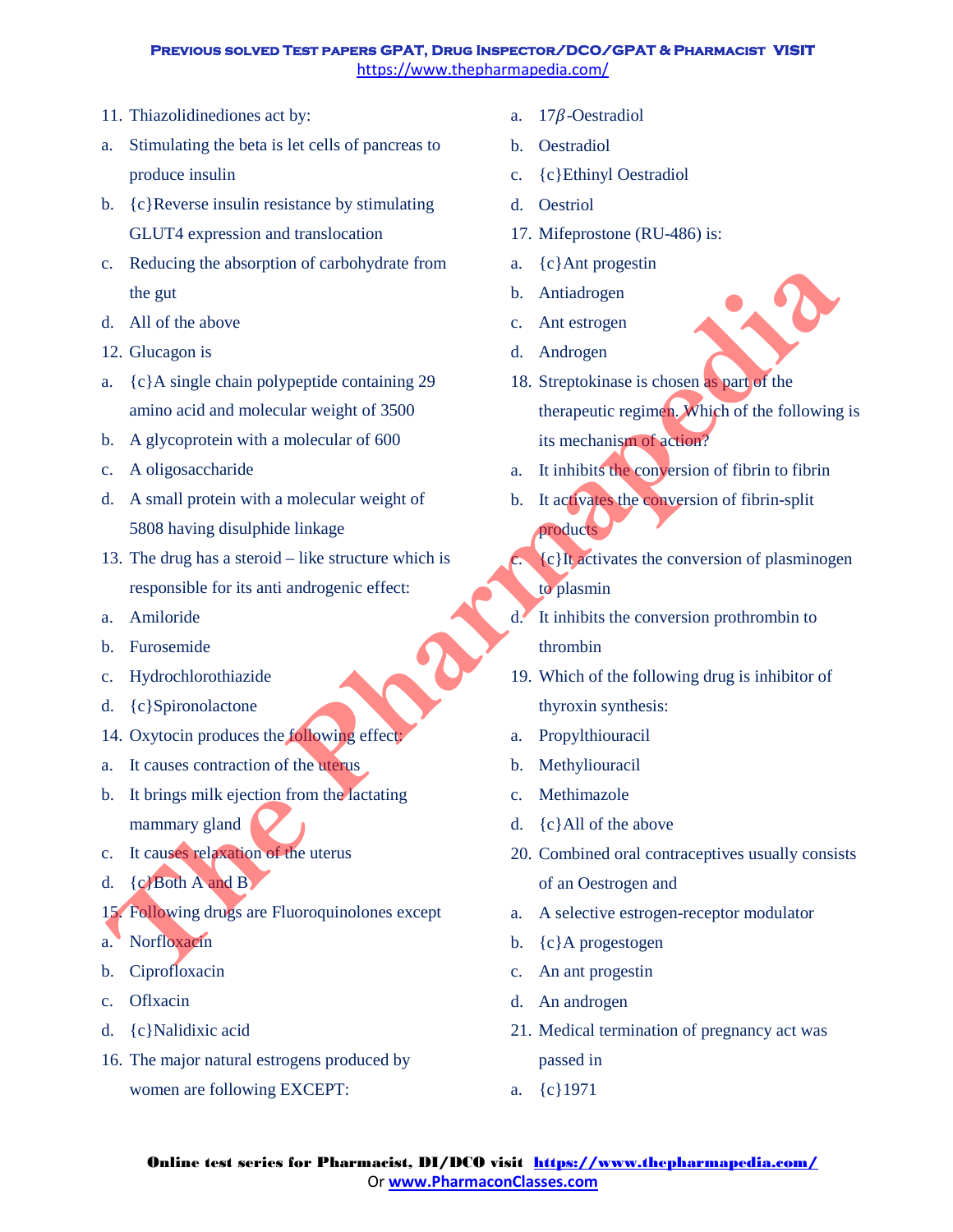- 11. Thiazolidinediones act by:
- a. Stimulating the beta is let cells of pancreas to produce insulin
- b. {c}Reverse insulin resistance by stimulating GLUT4 expression and translocation
- c. Reducing the absorption of carbohydrate from the gut
- d. All of the above
- 12. Glucagon is
- a. {c}A single chain polypeptide containing 29 amino acid and molecular weight of 3500
- b. A glycoprotein with a molecular of 600
- c. A oligosaccharide
- d. A small protein with a molecular weight of 5808 having disulphide linkage
- 13. The drug has a steroid like structure which is responsible for its anti androgenic effect:
- a. Amiloride
- b. Furosemide
- c. Hydrochlorothiazide
- d. {c}Spironolactone
- 14. Oxytocin produces the following effect:
- a. It causes contraction of the uterus
- b. It brings milk ejection from the lactating mammary gland
- c. It causes relaxation of the uterus
- d. {c}Both A and B
- 15. Following drugs are Fluoroquinolones except
- a. Norfloxacin
- b. Ciprofloxacin
- c. Oflxacin
- d. {c}Nalidixic acid
- 16. The major natural estrogens produced by women are following EXCEPT:
- a.  $17\beta$ -Oestradiol
- b. Oestradiol
- c. {c}Ethinyl Oestradiol
- d. Oestriol
- 17. Mifeprostone (RU-486) is:
- a. {c}Ant progestin
- b. Antiadrogen
- c. Ant estrogen
- d. Androgen
- 18. Streptokinase is chosen as part of the therapeutic regimen. Which of the following is its mechanism of action? Columbus and the pharmapy and the pharmappine in the state of the state of the state of the state of the state of the state of the state of the state of the state of the state of the state of the state of the state of the
	- a. It inhibits the conversion of fibrin to fibrin
	- b. It activates the conversion of fibrin-split products
	- $(c)$ It activates the conversion of plasminogen to plasmin
	- d. It inhibits the conversion prothrombin to thrombin
	- 19. Which of the following drug is inhibitor of thyroxin synthesis:
	- a. Propylthiouracil
	- b. Methyliouracil
	- c. Methimazole
	- d. {c}All of the above
	- 20. Combined oral contraceptives usually consists of an Oestrogen and
	- a. A selective estrogen-receptor modulator
	- b. {c}A progestogen
	- c. An ant progestin
	- d. An androgen
	- 21. Medical termination of pregnancy act was passed in
	- a. {c}1971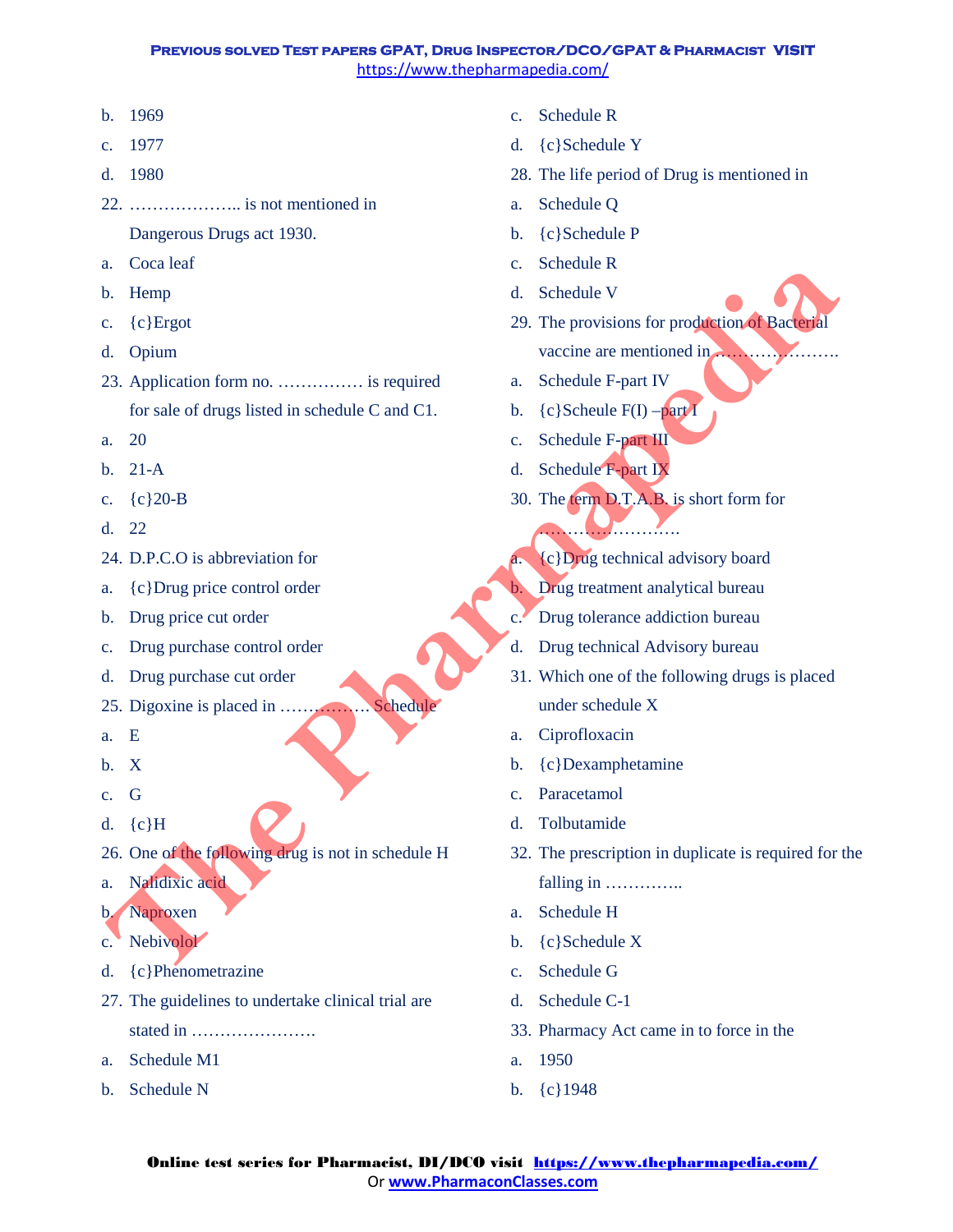- b. 1969
- c. 1977
- d. 1980
- 22. ……………….. is not mentioned in Dangerous Drugs act 1930.
- a. Coca leaf
- b. Hemp
- c. {c}Ergot
- d. Opium
- 23. Application form no. …………… is required for sale of drugs listed in schedule C and C1.
- a. 20
- b. 21-A
- c. {c}20-B
- d. 22
- 24. D.P.C.O is abbreviation for
- a. {c}Drug price control order
- b. Drug price cut order
- c. Drug purchase control order
- d. Drug purchase cut order
- 25. Digoxine is placed in ……………. Schedule
- a. E
- b. X
- c. G
- d.  ${c}H$
- 26. One of the following drug is not in schedule H
- a. Nalidixic acid
- b. Naproxen
- c. Nebivolol
- d. {c}Phenometrazine
- 27. The guidelines to undertake clinical trial are stated in ………………….
- a. Schedule M1
- b. Schedule N
- c. Schedule R
- d. {c}Schedule Y
- 28. The life period of Drug is mentioned in
- a. Schedule Q
- b. {c}Schedule P
- c. Schedule R
- d. Schedule V
- 29. The provisions for production of Bacterial vaccine are mentioned in  $\blacksquare$
- a. Schedule F-part IV
- b.  $\{c\}$ Scheule F(I) –part I
- c. Schedule F-part III
- d. Schedule F-part IX
- 30. The term D.T.A.B. is short form for …………………….
	- a. {c}Drug technical advisory board
- b. Drug treatment analytical bureau
- c. Drug tolerance addiction bureau
- d. Drug technical Advisory bureau
- 31. Which one of the following drugs is placed under schedule X
- a. Ciprofloxacin
- b. {c}Dexamphetamine
- c. Paracetamol
- d. Tolbutamide
- 32. The prescription in duplicate is required for the falling in …………… **The Content of the Pharmaps Content of the Pharmaps Content of the Pharmaps Content of the Pharmaps Content of the Pharmaps Content of the Pharmaps Content of the Pharmaps Content of the Capital Capital Capital Capital Ca** 
	- a. Schedule H
	- b. {c}Schedule X
	- c. Schedule G
	- d. Schedule C-1
	- 33. Pharmacy Act came in to force in the
	- a. 1950
	- b. {c}1948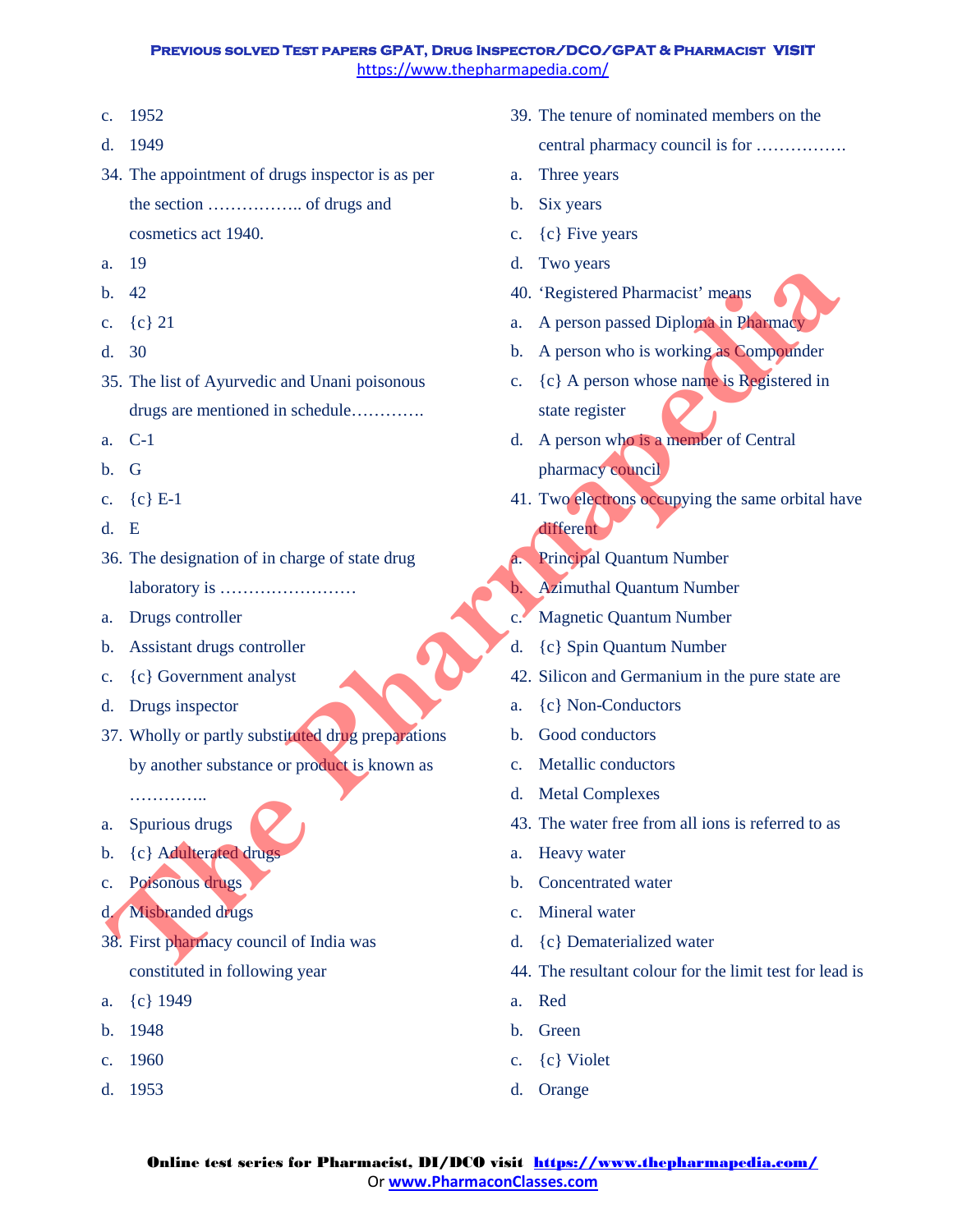- c. 1952
- d. 1949
- 34. The appointment of drugs inspector is as per the section …………….. of drugs and cosmetics act 1940.
- a. 19
- b. 42
- c. {c} 21
- d. 30
- 35. The list of Ayurvedic and Unani poisonous drugs are mentioned in schedule…………. **The Pharmaps Control of the Control of the Control of the Control of the Control of the Control of the Control of the Control of the Control of the Control of the Control of the Control of the Control of the Control of th**
- a. C-1
- b. G
- c. {c} E-1
- d. E
- 36. The designation of in charge of state drug laboratory is ……………………
- a. Drugs controller
- b. Assistant drugs controller
- c. {c} Government analyst
- d. Drugs inspector
- 37. Wholly or partly substituted drug preparations by another substance or product is known as

………….. a. Spurious drugs

- b. {c} Adulterated drugs
- c. Poisonous drugs
- d. Misbranded drugs
- 38. First pharmacy council of India was constituted in following year
- a. {c} 1949
- b. 1948
- c. 1960
- d. 1953
- 39. The tenure of nominated members on the central pharmacy council is for …………….
- a. Three years
- b. Six years
- c.  ${c}$  Five years
- d. Two years
- 40. 'Registered Pharmacist' means
- a. A person passed Diploma in Pharmacy
- b. A person who is working as Compounder
- c.  ${c}$  A person whose name is Registered in state register
- d. A person who is a member of Central pharmacy council
- 41. Two electrons occupying the same orbital have different
- **Principal Quantum Number**
- b. Azimuthal Quantum Number
- c. Magnetic Quantum Number
- d. {c} Spin Quantum Number
- 42. Silicon and Germanium in the pure state are
- a. {c} Non-Conductors
- b. Good conductors
- c. Metallic conductors
- d. Metal Complexes
- 43. The water free from all ions is referred to as
- a. Heavy water
- b. Concentrated water
- c. Mineral water
- d. {c} Dematerialized water
- 44. The resultant colour for the limit test for lead is
- a. Red
- b. Green
- c. {c} Violet
- d. Orange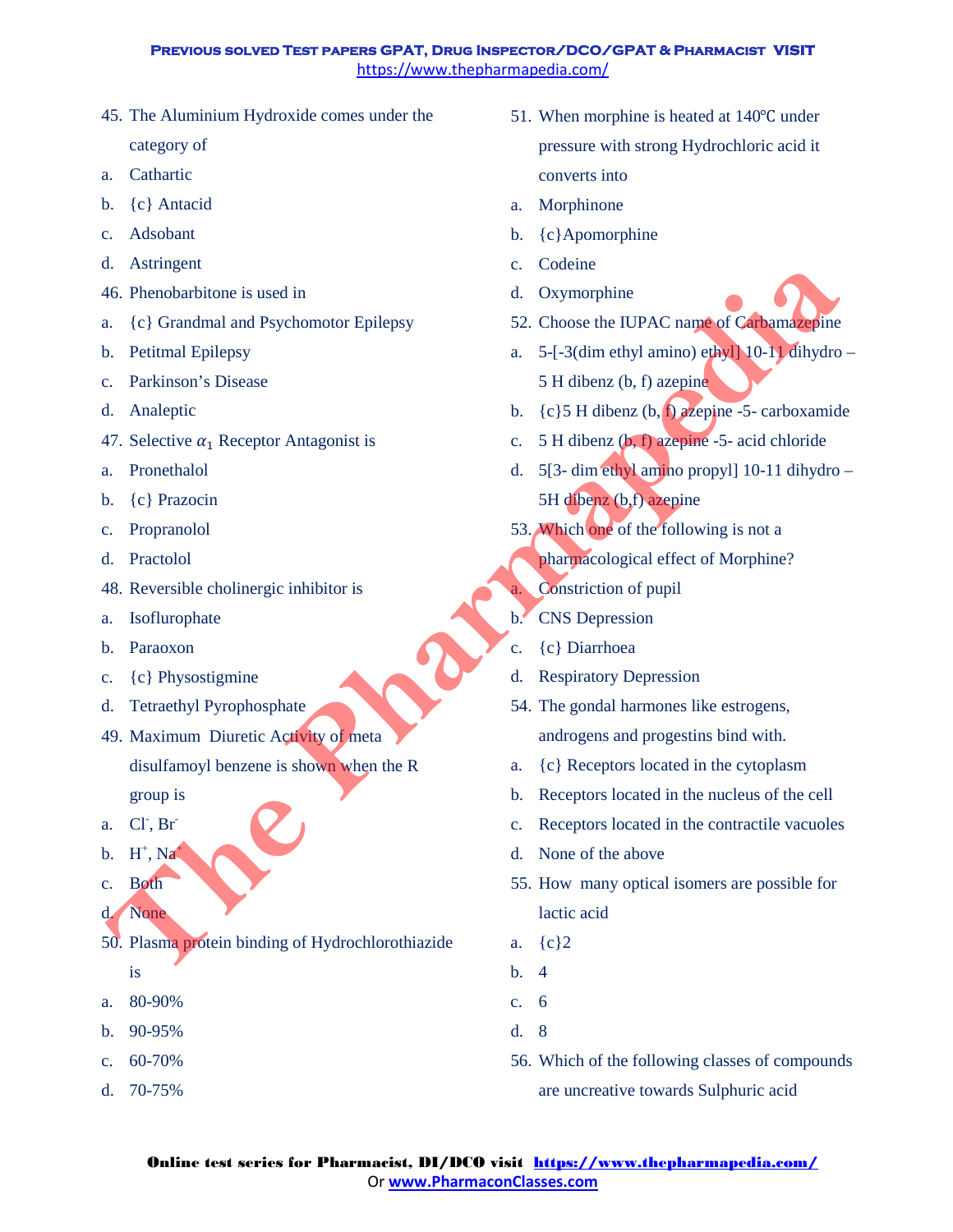- 45. The Aluminium Hydroxide comes under the category of
- a. Cathartic
- b. {c} Antacid
- c. Adsobant
- d. Astringent
- 46. Phenobarbitone is used in
- a. {c} Grandmal and Psychomotor Epilepsy
- b. Petitmal Epilepsy
- c. Parkinson's Disease
- d. Analeptic
- 47. Selective  $\alpha_1$  Receptor Antagonist is
- a. Pronethalol
- b. {c} Prazocin
- c. Propranolol
- d. Practolol
- 48. Reversible cholinergic inhibitor is
- a. Isoflurophate
- b. Paraoxon
- c. {c} Physostigmine
- d. Tetraethyl Pyrophosphate
- 49. Maximum Diuretic Activity of meta disulfamoyl benzene is shown when the R The Structure of the Structure of the Structure is the Structure of the Structure of the Structure of the Structure of the Structure of the Structure of the Structure of the Structure of the Structure of the Structure of
	- group is
- a. Cl<sup>-</sup>, Br<sup>-</sup>
- b.  $H^+$ , Na<sup>+</sup>
- c. Both
- d. None
- 50. Plasma protein binding of Hydrochlorothiazide is
- a. 80-90%
- b. 90-95%
- c.  $60 70%$
- d. 70-75%
- 51. When morphine is heated at 140℃ under pressure with strong Hydrochloric acid it converts into
- a. Morphinone
- b. {c}Apomorphine
- c. Codeine
- d. Oxymorphine
- 52. Choose the IUPAC name of Carbamazepine
- a. 5-[-3(dim ethyl amino) ethyl] 10-11 dihydro 5 H dibenz (b, f) azepine
- b.  ${c}$  5 H dibenz (b, f) azepine -5- carboxamide
- c. 5 H dibenz (b, f) azepine -5- acid chloride
- d. 5[3- dim ethyl amino propyl] 10-11 dihydro 5H dibenz (b,f) azepine
- 53. Which one of the following is not a
	- pharmacological effect of Morphine?
	- Constriction of pupil
- b. CNS Depression
- c. {c} Diarrhoea
- d. Respiratory Depression
- 54. The gondal harmones like estrogens, androgens and progestins bind with.
- a. {c} Receptors located in the cytoplasm
- b. Receptors located in the nucleus of the cell
- c. Receptors located in the contractile vacuoles
- d. None of the above
- 55. How many optical isomers are possible for lactic acid
- a. {c}2
- b. 4
- c. 6
- d. 8
- 56. Which of the following classes of compounds are uncreative towards Sulphuric acid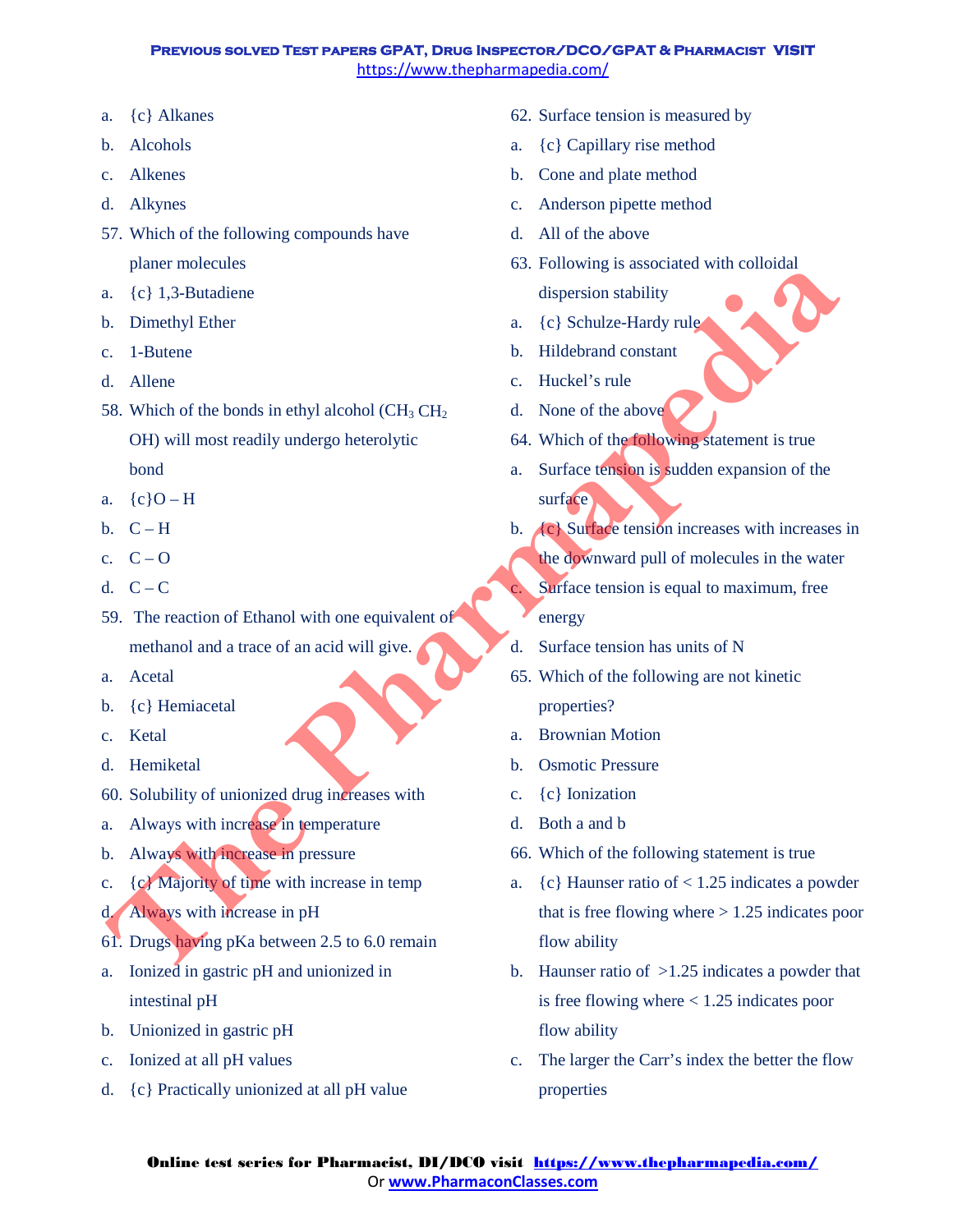- a. {c} Alkanes
- b. Alcohols
- c. Alkenes
- d. Alkynes
- 57. Which of the following compounds have planer molecules
- a. {c} 1,3-Butadiene
- b. Dimethyl Ether
- c. 1-Butene
- d. Allene
- 58. Which of the bonds in ethyl alcohol  $\rm CH_3 \, CH_2$ OH) will most readily undergo heterolytic bond Finance Internal Comparison and the Controller and the Controller and the Controller and the Controller and the Controller and the Controller and the Controller and the Controller and the Controller and the Controller an
- a.  ${c}$   $O-H$
- b.  $C-H$
- c.  $C Q$
- d.  $C C$
- 59. The reaction of Ethanol with one equivalent of methanol and a trace of an acid will give.
- a. Acetal
- b. {c} Hemiacetal
- c. Ketal
- d. Hemiketal
- 60. Solubility of unionized drug increases with
- a. Always with increase in temperature
- b. Always with increase in pressure
- c. {c} Majority of time with increase in temp
- d. Always with increase in pH
- 61. Drugs having pKa between 2.5 to 6.0 remain
- a. Ionized in gastric pH and unionized in intestinal pH
- b. Unionized in gastric pH
- c. Ionized at all pH values
- d. {c} Practically unionized at all pH value
- 62. Surface tension is measured by
- a. {c} Capillary rise method
- b. Cone and plate method
- c. Anderson pipette method
- d. All of the above
- 63. Following is associated with colloidal dispersion stability
- a. {c} Schulze-Hardy rule
- b. Hildebrand constant
- c. Huckel's rule
- d. None of the above
- 64. Which of the following statement is true
- a. Surface tension is sudden expansion of the surface
- b. **(c)** Surface tension increases with increases in

the downward pull of molecules in the water

Surface tension is equal to maximum, free energy

- d. Surface tension has units of N
- 65. Which of the following are not kinetic properties?
- a. Brownian Motion
- b. Osmotic Pressure
- c. {c} Ionization
- d. Both a and b
- 66. Which of the following statement is true
- a.  ${c}$  Haunser ratio of < 1.25 indicates a powder that is free flowing where  $> 1.25$  indicates poor flow ability
- b. Haunser ratio of  $>1.25$  indicates a powder that is free flowing where < 1.25 indicates poor flow ability
- c. The larger the Carr's index the better the flow properties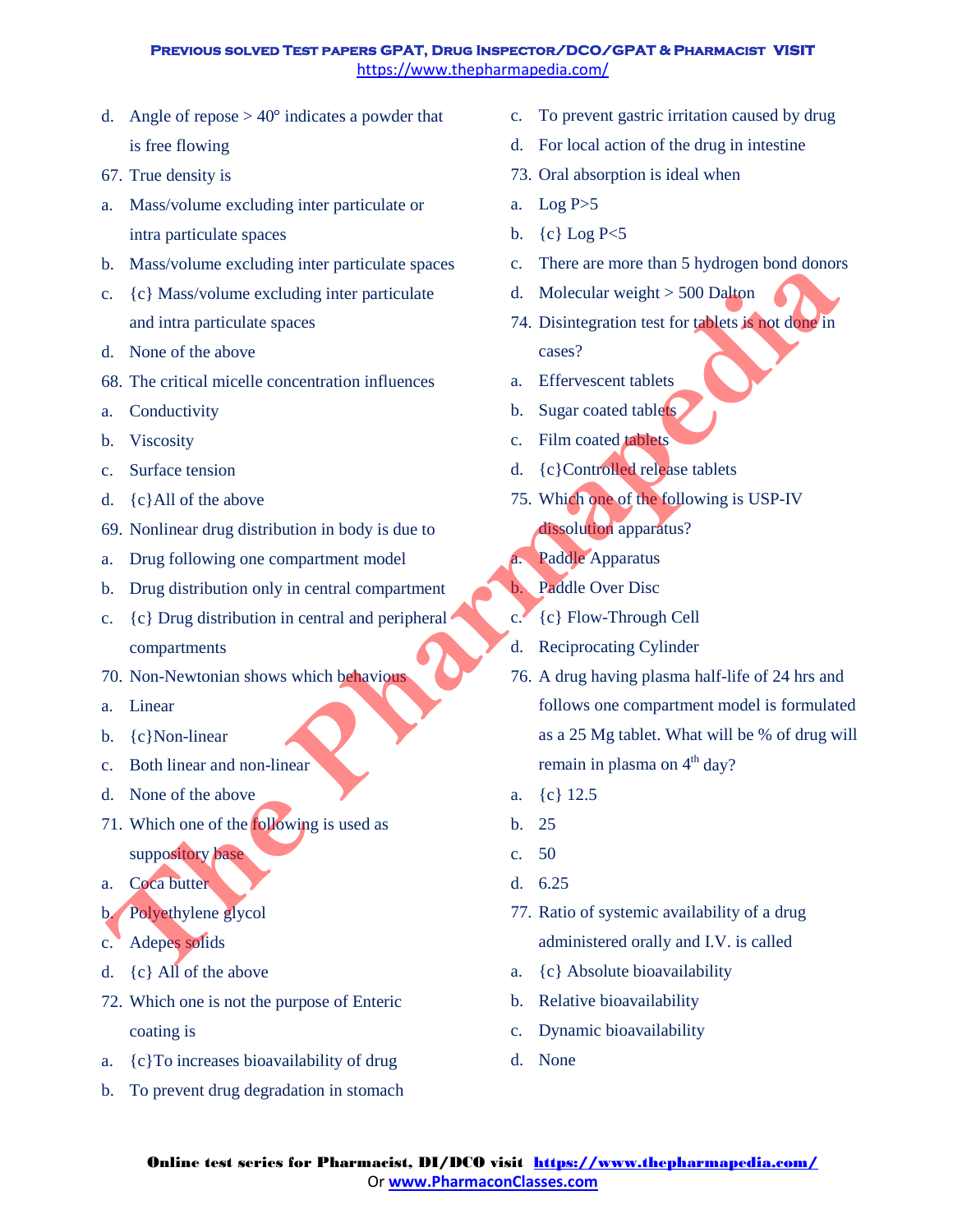- d. Angle of repose  $> 40^{\circ}$  indicates a powder that is free flowing
- 67. True density is
- a. Mass/volume excluding inter particulate or intra particulate spaces
- b. Mass/volume excluding inter particulate spaces
- c. {c} Mass/volume excluding inter particulate and intra particulate spaces
- d. None of the above
- 68. The critical micelle concentration influences
- a. Conductivity
- b. Viscosity
- c. Surface tension
- d. {c}All of the above
- 69. Nonlinear drug distribution in body is due to
- a. Drug following one compartment model
- b. Drug distribution only in central compartment
- c. {c} Drug distribution in central and peripheral compartments
- 70. Non-Newtonian shows which behavious
- a. Linear
- b. {c}Non-linear
- c. Both linear and non-linear
- d. None of the above
- 71. Which one of the following is used as suppository base
- a. Coca butter
- b. Polyethylene glycol
- c. Adepes solids
- d. {c} All of the above
- 72. Which one is not the purpose of Enteric coating is
- a. {c}To increases bioavailability of drug
- b. To prevent drug degradation in stomach
- c. To prevent gastric irritation caused by drug
- d. For local action of the drug in intestine
- 73. Oral absorption is ideal when
- a. Log  $P > 5$
- b. {c} Log P<5
- c. There are more than 5 hydrogen bond donors
- d. Molecular weight > 500 Dalton
- 74. Disintegration test for tablets is not done in cases?
- a. Effervescent tablets
- b. Sugar coated tablets
- c. Film coated tablets
- d. {c}Controlled release tablets
- 75. Which one of the following is USP-IV dissolution apparatus?
- a. Paddle Apparatus
- b. Paddle Over Disc
- c. {c} Flow-Through Cell
- d. Reciprocating Cylinder
- 76. A drug having plasma half-life of 24 hrs and follows one compartment model is formulated as a 25 Mg tablet. What will be % of drug will remain in plasma on  $4<sup>th</sup>$  day? **The absolute Scheme Scheme Scheme Scheme Scheme Scheme Scheme Scheme Scheme Scheme Scheme Scheme Scheme Scheme Scheme Scheme Scheme Scheme Scheme Scheme Scheme Scheme Scheme Scheme Scheme Scheme Scheme Scheme Scheme Sche** 
	- a. {c} 12.5
	- b. 25
	- c. 50
	- d. 6.25
	- 77. Ratio of systemic availability of a drug administered orally and I.V. is called
	- a. {c} Absolute bioavailability
	- b. Relative bioavailability
	- c. Dynamic bioavailability
	- d. None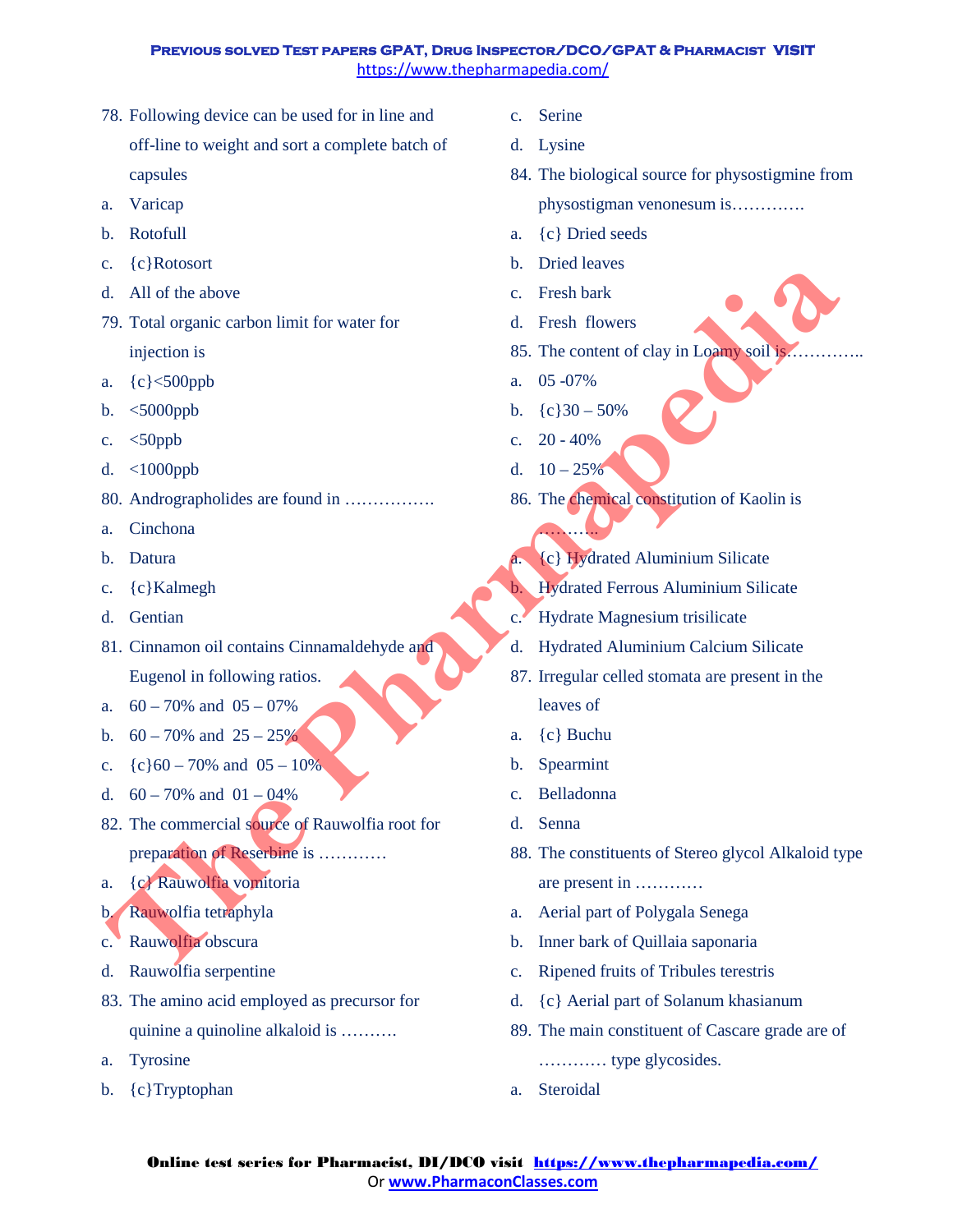- 78. Following device can be used for in line and off-line to weight and sort a complete batch of capsules
- a. Varicap
- b. Rotofull
- c. {c}Rotosort
- d. All of the above
- 79. Total organic carbon limit for water for injection is
- a. {c}<500ppb
- b. <5000ppb
- c.  $<50$ ppb
- d. <1000ppb
- 80. Andrographolides are found in …………….
- a. Cinchona
- b. Datura
- c. {c}Kalmegh
- d. Gentian
- 81. Cinnamon oil contains Cinnamaldehyde and Eugenol in following ratios.
- a.  $60 70\%$  and  $05 07\%$
- b.  $60 70\%$  and  $25 25\%$
- c.  ${c}$   ${c}$  60 70% and 05 10%
- d.  $60 70\%$  and  $01 04\%$
- 82. The commercial source of Rauwolfia root for preparation of Reserbine is ………… Cyclous and the absorption is the Cyclous of the Cyclous Cyclomatic Cyclomatic Cyclomatic Cyclomatic Cyclomatic Cyclomatic Cyclomatic Cyclomatic Cyclomatic Cyclomatic Cyclomatic Cyclomatic Cyclomatic Cyclomatic Cyclomatic
- a. {c} Rauwolfia vomitoria
- b. Rauwolfia tetraphyla
- c. Rauwolfia obscura
- d. Rauwolfia serpentine
- 83. The amino acid employed as precursor for quinine a quinoline alkaloid is ……….
- a. Tyrosine
- b. {c}Tryptophan
- c. Serine
- d. Lysine
- 84. The biological source for physostigmine from physostigman venonesum is………….
- a. {c} Dried seeds
- b. Dried leaves
- c. Fresh bark
- d. Fresh flowers
- 85. The content of clay in Loamy soil is...
- a. 05 -07%
- b.  ${c}30 50%$
- c.  $20 40%$
- d.  $10 25%$

……

- 86. The chemical constitution of Kaolin is
	- a. {c} Hydrated Aluminium Silicate
	- b. Hydrated Ferrous Aluminium Silicate
- c. Hydrate Magnesium trisilicate
- d. Hydrated Aluminium Calcium Silicate
- 87. Irregular celled stomata are present in the leaves of
- a. {c} Buchu
- b. Spearmint
- c. Belladonna
- d. Senna
- 88. The constituents of Stereo glycol Alkaloid type are present in …………
- a. Aerial part of Polygala Senega
- b. Inner bark of Quillaia saponaria
- c. Ripened fruits of Tribules terestris
- d. {c} Aerial part of Solanum khasianum
- 89. The main constituent of Cascare grade are of ………… type glycosides.
- a. Steroidal